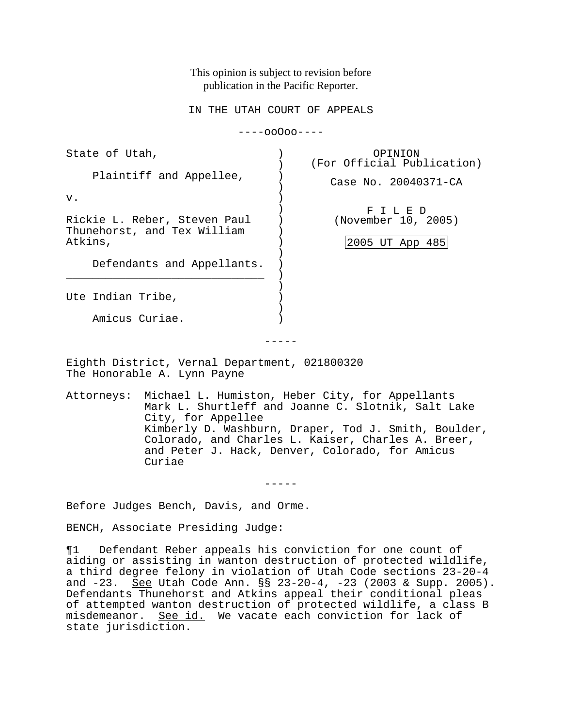This opinion is subject to revision before publication in the Pacific Reporter.

IN THE UTAH COURT OF APPEALS

----ooOoo----

| State of Utah,                                                               | OPINION<br>(For Official Publication)           |
|------------------------------------------------------------------------------|-------------------------------------------------|
| Plaintiff and Appellee,                                                      | Case No. 20040371-CA                            |
| v.<br>Rickie L. Reber, Steven Paul<br>Thunehorst, and Tex William<br>Atkins, | FILED<br>(November 10, 2005)<br>2005 UT App 485 |
| Defendants and Appellants.                                                   |                                                 |
| Ute Indian Tribe,                                                            |                                                 |
| Amicus Curiae.                                                               |                                                 |

Eighth District, Vernal Department, 021800320 The Honorable A. Lynn Payne

Attorneys: Michael L. Humiston, Heber City, for Appellants Mark L. Shurtleff and Joanne C. Slotnik, Salt Lake City, for Appellee Kimberly D. Washburn, Draper, Tod J. Smith, Boulder, Colorado, and Charles L. Kaiser, Charles A. Breer, and Peter J. Hack, Denver, Colorado, for Amicus Curiae

-----

Before Judges Bench, Davis, and Orme.

BENCH, Associate Presiding Judge:

¶1 Defendant Reber appeals his conviction for one count of aiding or assisting in wanton destruction of protected wildlife, a third degree felony in violation of Utah Code sections 23-20-4 and  $-23.$  See Utah Code Ann. §§ 23-20-4,  $-23$  (2003 & Supp. 2005). Defendants Thunehorst and Atkins appeal their conditional pleas of attempted wanton destruction of protected wildlife, a class B misdemeanor. See id. We vacate each conviction for lack of state jurisdiction.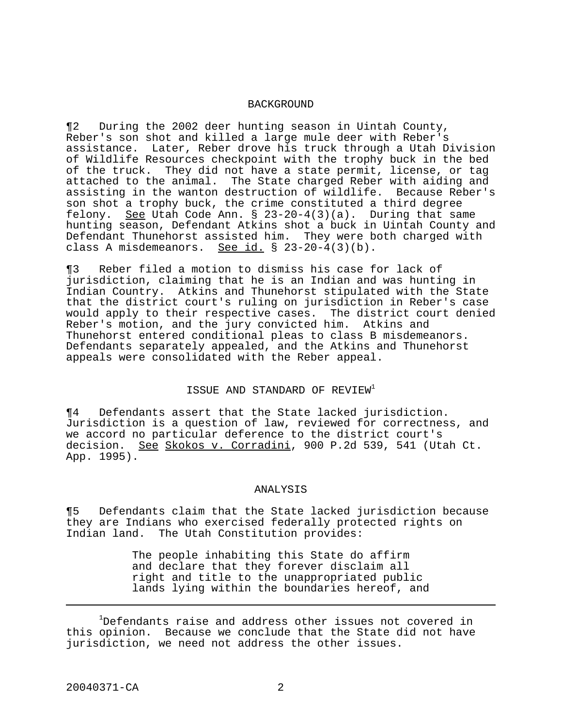## BACKGROUND

¶2 During the 2002 deer hunting season in Uintah County, Reber's son shot and killed a large mule deer with Reber's assistance. Later, Reber drove his truck through a Utah Division of Wildlife Resources checkpoint with the trophy buck in the bed of the truck. They did not have a state permit, license, or tag attached to the animal. The State charged Reber with aiding and assisting in the wanton destruction of wildlife. Because Reber's son shot a trophy buck, the crime constituted a third degree felony. See Utah Code Ann.  $\S$  23-20-4(3)(a). During that same hunting season, Defendant Atkins shot a buck in Uintah County and Defendant Thunehorst assisted him. They were both charged with class A misdemeanors. See id. § 23-20-4(3)(b).

¶3 Reber filed a motion to dismiss his case for lack of jurisdiction, claiming that he is an Indian and was hunting in Indian Country. Atkins and Thunehorst stipulated with the State that the district court's ruling on jurisdiction in Reber's case would apply to their respective cases. The district court denied Reber's motion, and the jury convicted him. Atkins and Thunehorst entered conditional pleas to class B misdemeanors. Defendants separately appealed, and the Atkins and Thunehorst appeals were consolidated with the Reber appeal.

## ISSUE AND STANDARD OF REVIEW<sup>1</sup>

¶4 Defendants assert that the State lacked jurisdiction. Jurisdiction is a question of law, reviewed for correctness, and we accord no particular deference to the district court's decision. See Skokos v. Corradini, 900 P.2d 539, 541 (Utah Ct. App. 1995).

## ANALYSIS

¶5 Defendants claim that the State lacked jurisdiction because they are Indians who exercised federally protected rights on Indian land. The Utah Constitution provides:

> The people inhabiting this State do affirm and declare that they forever disclaim all right and title to the unappropriated public lands lying within the boundaries hereof, and

<sup>1</sup>Defendants raise and address other issues not covered in this opinion. Because we conclude that the State did not have jurisdiction, we need not address the other issues.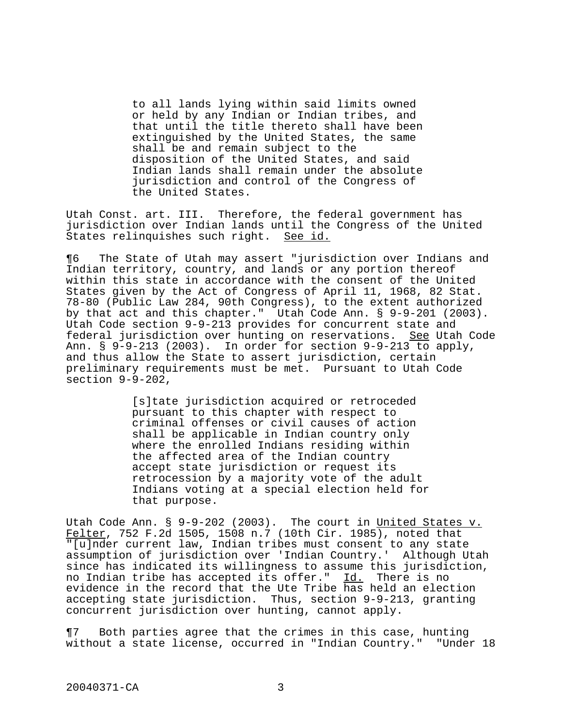to all lands lying within said limits owned or held by any Indian or Indian tribes, and that until the title thereto shall have been extinguished by the United States, the same shall be and remain subject to the disposition of the United States, and said Indian lands shall remain under the absolute jurisdiction and control of the Congress of the United States.

Utah Const. art. III. Therefore, the federal government has jurisdiction over Indian lands until the Congress of the United States relinquishes such right. See id.

¶6 The State of Utah may assert "jurisdiction over Indians and Indian territory, country, and lands or any portion thereof within this state in accordance with the consent of the United States given by the Act of Congress of April 11, 1968, 82 Stat. 78-80 (Public Law 284, 90th Congress), to the extent authorized by that act and this chapter." Utah Code Ann. § 9-9-201 (2003). Utah Code section 9-9-213 provides for concurrent state and federal jurisdiction over hunting on reservations. See Utah Code Ann.  $\S$  9-9-213 (2003). In order for section 9-9-213 to apply, and thus allow the State to assert jurisdiction, certain preliminary requirements must be met. Pursuant to Utah Code section 9-9-202,

> [s]tate jurisdiction acquired or retroceded pursuant to this chapter with respect to criminal offenses or civil causes of action shall be applicable in Indian country only where the enrolled Indians residing within the affected area of the Indian country accept state jurisdiction or request its retrocession by a majority vote of the adult Indians voting at a special election held for that purpose.

Utah Code Ann. § 9-9-202 (2003). The court in United States v. Felter, 752 F.2d 1505, 1508 n.7 (10th Cir. 1985), noted that "[u]nder current law, Indian tribes must consent to any state assumption of jurisdiction over 'Indian Country.' Although Utah since has indicated its willingness to assume this jurisdiction, no Indian tribe has accepted its offer." Id. There is no evidence in the record that the Ute Tribe has held an election accepting state jurisdiction. Thus, section 9-9-213, granting concurrent jurisdiction over hunting, cannot apply.

¶7 Both parties agree that the crimes in this case, hunting without a state license, occurred in "Indian Country." "Under 18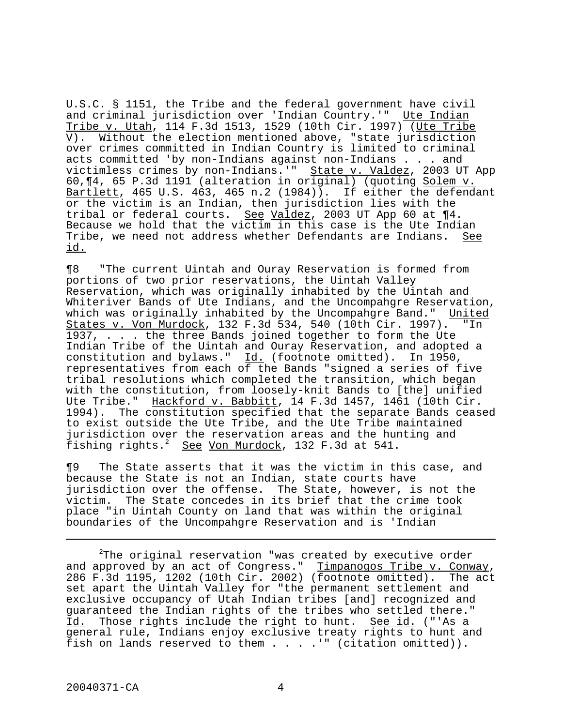U.S.C. § 1151, the Tribe and the federal government have civil and criminal jurisdiction over 'Indian Country.'" Ute Indian Tribe v. Utah, 114 F.3d 1513, 1529 (10th Cir. 1997) (Ute Tribe V). Without the election mentioned above, "state jurisdiction over crimes committed in Indian Country is limited to criminal acts committed 'by non-Indians against non-Indians . . . and victimless crimes by non-Indians.'" State v. Valdez, 2003 UT App 60,¶4, 65 P.3d 1191 (alteration in original) (quoting Solem v. Bartlett, 465 U.S. 463, 465 n.2 (1984)). If either the defendant or the victim is an Indian, then jurisdiction lies with the tribal or federal courts. See Valdez, 2003 UT App 60 at  $\P 4$ . Because we hold that the victim in this case is the Ute Indian Tribe, we need not address whether Defendants are Indians. See id.

¶8 "The current Uintah and Ouray Reservation is formed from portions of two prior reservations, the Uintah Valley Reservation, which was originally inhabited by the Uintah and Whiteriver Bands of Ute Indians, and the Uncompahgre Reservation, which was originally inhabited by the Uncompahgre Band." United States v. Von Murdock, 132 F.3d 534, 540 (10th Cir. 1997). "In 1937, . . . the three Bands joined together to form the Ute Indian Tribe of the Uintah and Ouray Reservation, and adopted a constitution and bylaws." Id. (footnote omitted). In 1950, representatives from each of the Bands "signed a series of five tribal resolutions which completed the transition, which began with the constitution, from loosely-knit Bands to [the] unified Ute Tribe." Hackford v. Babbitt, 14 F.3d 1457, 1461 (10th Cir. 1994). The constitution specified that the separate Bands ceased to exist outside the Ute Tribe, and the Ute Tribe maintained jurisdiction over the reservation areas and the hunting and fishing rights.<sup>2</sup> See Von Murdock, 132 F.3d at 541.

¶9 The State asserts that it was the victim in this case, and because the State is not an Indian, state courts have jurisdiction over the offense. The State, however, is not the victim. The State concedes in its brief that the crime took place "in Uintah County on land that was within the original boundaries of the Uncompahgre Reservation and is 'Indian

 $2$ The original reservation "was created by executive order and approved by an act of Congress." Timpanogos Tribe v. Conway, 286 F.3d 1195, 1202 (10th Cir. 2002) (footnote omitted). The act set apart the Uintah Valley for "the permanent settlement and exclusive occupancy of Utah Indian tribes [and] recognized and guaranteed the Indian rights of the tribes who settled there." Id. Those rights include the right to hunt. See id. ("'As a general rule, Indians enjoy exclusive treaty rights to hunt and fish on lands reserved to them  $\ldots$  . . " (citation omitted)).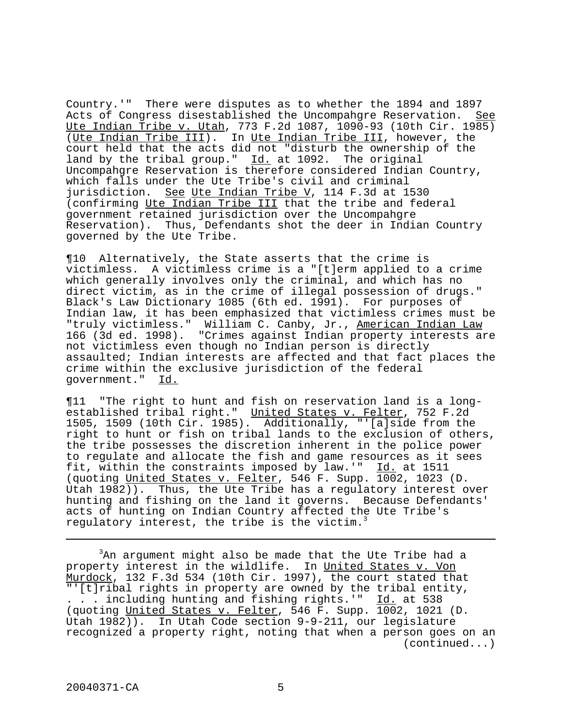Country.'" There were disputes as to whether the 1894 and 1897 Acts of Congress disestablished the Uncompahgre Reservation. See Ute Indian Tribe v. Utah, 773 F.2d 1087, 1090-93 (10th Cir. 1985) (Ute Indian Tribe III). In Ute Indian Tribe III, however, the court held that the acts did not "disturb the ownership of the land by the tribal group."  $\underline{Id.}$  at 1092. The original Uncompahgre Reservation is therefore considered Indian Country, which falls under the Ute Tribe's civil and criminal jurisdiction. See Ute Indian Tribe V, 114 F.3d at 1530 (confirming Ute Indian Tribe III that the tribe and federal government retained jurisdiction over the Uncompahgre Reservation). Thus, Defendants shot the deer in Indian Country governed by the Ute Tribe.

¶10 Alternatively, the State asserts that the crime is victimless. A victimless crime is a "[t]erm applied to a crime which generally involves only the criminal, and which has no direct victim, as in the crime of illegal possession of drugs." Black's Law Dictionary 1085 (6th ed. 1991). For purposes of Indian law, it has been emphasized that victimless crimes must be "truly victimless." William C. Canby, Jr., American Indian Law 166 (3d ed. 1998). "Crimes against Indian property interests are not victimless even though no Indian person is directly assaulted; Indian interests are affected and that fact places the crime within the exclusive jurisdiction of the federal government." Id.

¶11 "The right to hunt and fish on reservation land is a longestablished tribal right." United States v. Felter, 752 F.2d 1505, 1509 (10th Cir. 1985). Additionally, "'[a]side from the right to hunt or fish on tribal lands to the exclusion of others, the tribe possesses the discretion inherent in the police power to regulate and allocate the fish and game resources as it sees fit, within the constraints imposed by law.'"  $\underline{Id.}$  at 1511 (quoting United States v. Felter, 546 F. Supp. 1002, 1023 (D. Utah 1982)). Thus, the Ute Tribe has a regulatory interest over hunting and fishing on the land it governs. Because Defendants' acts of hunting on Indian Country affected the Ute Tribe's regulatory interest, the tribe is the victim.<sup>3</sup>

<sup>3</sup>An argument might also be made that the Ute Tribe had a property interest in the wildlife. In United States v. Von Murdock, 132 F.3d 534 (10th Cir. 1997), the court stated that "'[t]ribal rights in property are owned by the tribal entity, . . . including hunting and fishing rights.'" Id. at 538 (quoting United States v. Felter, 546 F. Supp. 1002, 1021 (D. Utah 1982)). In Utah Code section 9-9-211, our legislature recognized a property right, noting that when a person goes on an (continued...)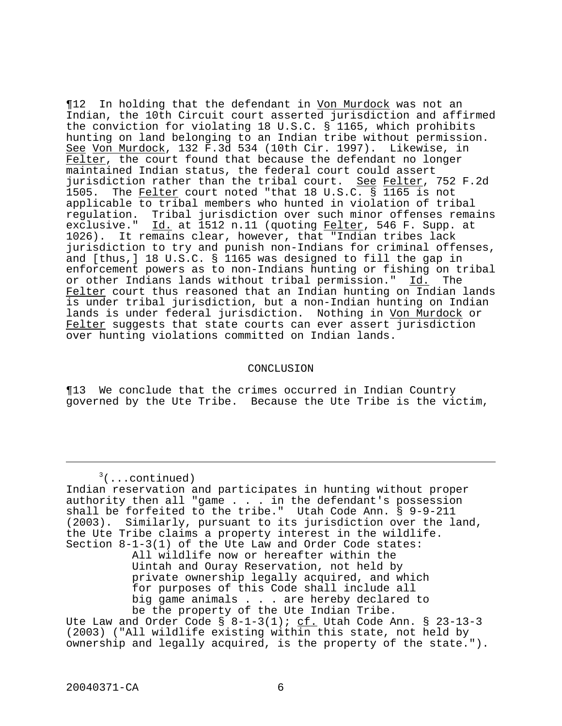$\P$ 12 In holding that the defendant in <u>Von Murdock</u> was not an Indian, the 10th Circuit court asserted jurisdiction and affirmed the conviction for violating 18 U.S.C. § 1165, which prohibits hunting on land belonging to an Indian tribe without permission. See Von Murdock, 132 F.3d 534 (10th Cir. 1997). Likewise, in Felter, the court found that because the defendant no longer maintained Indian status, the federal court could assert jurisdiction rather than the tribal court. See Felter, 752 F.2d 1505. The Felter court noted "that 18 U.S.C. § 1165 is not applicable to tribal members who hunted in violation of tribal regulation. Tribal jurisdiction over such minor offenses remains exclusive." Id. at 1512 n.11 (quoting Felter, 546 F. Supp. at 1026). It remains clear, however, that "Indian tribes lack jurisdiction to try and punish non-Indians for criminal offenses, and [thus,] 18 U.S.C. § 1165 was designed to fill the gap in enforcement powers as to non-Indians hunting or fishing on tribal or other Indians lands without tribal permission." Id. The Felter court thus reasoned that an Indian hunting on Indian lands is under tribal jurisdiction, but a non-Indian hunting on Indian lands is under federal jurisdiction. Nothing in Von Murdock or Felter suggests that state courts can ever assert jurisdiction over hunting violations committed on Indian lands.

## CONCLUSION

¶13 We conclude that the crimes occurred in Indian Country governed by the Ute Tribe. Because the Ute Tribe is the victim,

 $3$ (...continued)

Indian reservation and participates in hunting without proper authority then all "game . . . in the defendant's possession shall be forfeited to the tribe." Utah Code Ann. § 9-9-211 (2003). Similarly, pursuant to its jurisdiction over the land, the Ute Tribe claims a property interest in the wildlife. Section 8-1-3(1) of the Ute Law and Order Code states: All wildlife now or hereafter within the Uintah and Ouray Reservation, not held by private ownership legally acquired, and which for purposes of this Code shall include all big game animals . . . are hereby declared to be the property of the Ute Indian Tribe. Ute Law and Order Code  $\S$  8-1-3(1); cf. Utah Code Ann.  $\S$  23-13-3 (2003) ("All wildlife existing within this state, not held by

ownership and legally acquired, is the property of the state.").